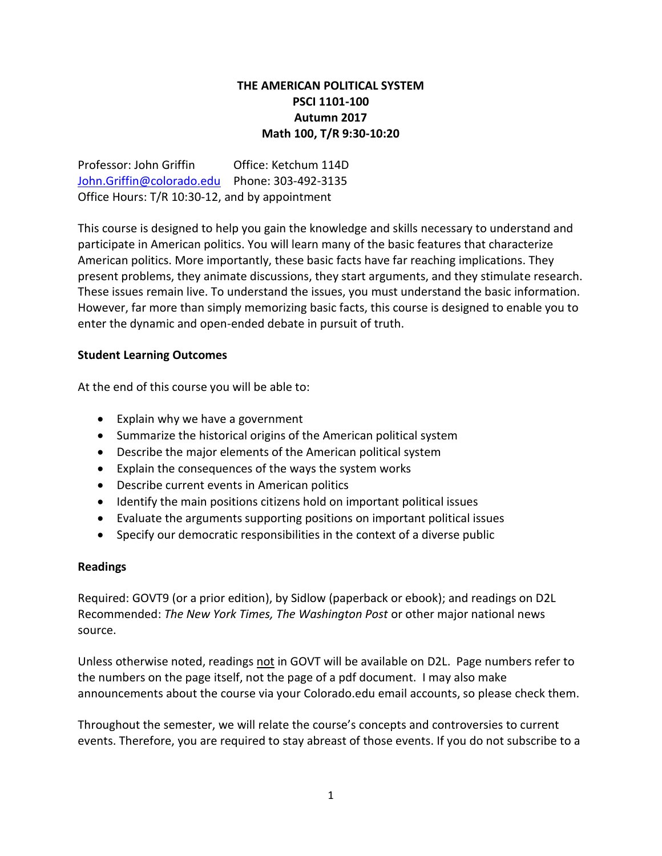# **THE AMERICAN POLITICAL SYSTEM PSCI 1101-100 Autumn 2017 Math 100, T/R 9:30-10:20**

Professor: John Griffin Office: Ketchum 114D [John.Griffin@colorado.edu](mailto:John.Griffin@colorado.edu) Phone: 303-492-3135 Office Hours: T/R 10:30-12, and by appointment

This course is designed to help you gain the knowledge and skills necessary to understand and participate in American politics. You will learn many of the basic features that characterize American politics. More importantly, these basic facts have far reaching implications. They present problems, they animate discussions, they start arguments, and they stimulate research. These issues remain live. To understand the issues, you must understand the basic information. However, far more than simply memorizing basic facts, this course is designed to enable you to enter the dynamic and open-ended debate in pursuit of truth.

# **Student Learning Outcomes**

At the end of this course you will be able to:

- Explain why we have a government
- Summarize the historical origins of the American political system
- Describe the major elements of the American political system
- Explain the consequences of the ways the system works
- Describe current events in American politics
- Identify the main positions citizens hold on important political issues
- Evaluate the arguments supporting positions on important political issues
- Specify our democratic responsibilities in the context of a diverse public

# **Readings**

Required: GOVT9 (or a prior edition), by Sidlow (paperback or ebook); and readings on D2L Recommended: *The New York Times, The Washington Post* or other major national news source.

Unless otherwise noted, readings not in GOVT will be available on D2L. Page numbers refer to the numbers on the page itself, not the page of a pdf document. I may also make announcements about the course via your Colorado.edu email accounts, so please check them.

Throughout the semester, we will relate the course's concepts and controversies to current events. Therefore, you are required to stay abreast of those events. If you do not subscribe to a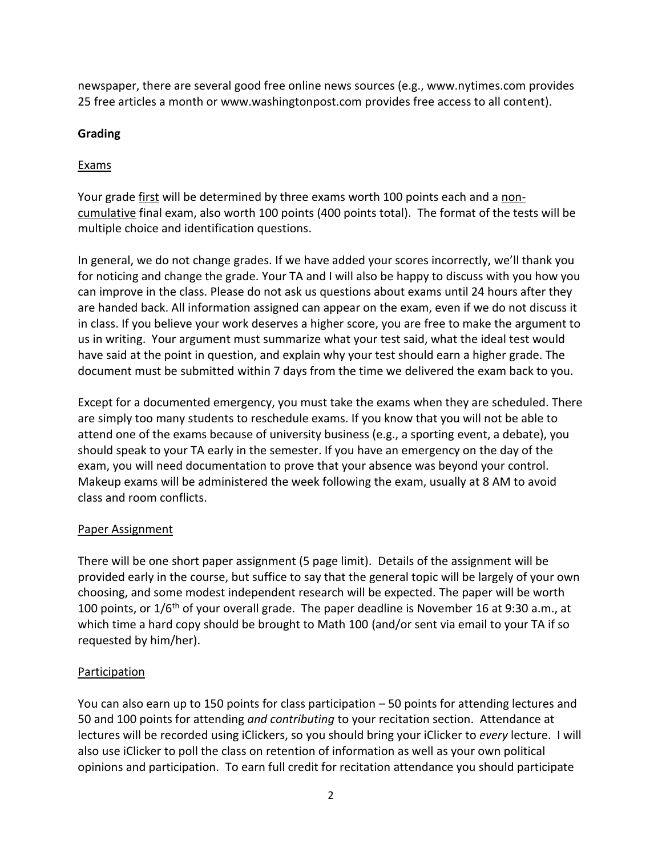newspaper, there are several good free online news sources (e.g., www.nytimes.com provides 25 free articles a month or www.washingtonpost.com provides free access to all content).

# **Grading**

# **Exams**

Your grade first will be determined by three exams worth 100 points each and a noncumulative final exam, also worth 100 points (400 points total). The format of the tests will be multiple choice and identification questions.

In general, we do not change grades. If we have added your scores incorrectly, we'll thank you for noticing and change the grade. Your TA and I will also be happy to discuss with you how you can improve in the class. Please do not ask us questions about exams until 24 hours after they are handed back. All information assigned can appear on the exam, even if we do not discuss it in class. If you believe your work deserves a higher score, you are free to make the argument to us in writing. Your argument must summarize what your test said, what the ideal test would have said at the point in question, and explain why your test should earn a higher grade. The document must be submitted within 7 days from the time we delivered the exam back to you.

Except for a documented emergency, you must take the exams when they are scheduled. There are simply too many students to reschedule exams. If you know that you will not be able to attend one of the exams because of university business (e.g., a sporting event, a debate), you should speak to your TA early in the semester. If you have an emergency on the day of the exam, you will need documentation to prove that your absence was beyond your control. Makeup exams will be administered the week following the exam, usually at 8 AM to avoid class and room conflicts.

# Paper Assignment

There will be one short paper assignment (5 page limit). Details of the assignment will be provided early in the course, but suffice to say that the general topic will be largely of your own choosing, and some modest independent research will be expected. The paper will be worth 100 points, or  $1/6$ <sup>th</sup> of your overall grade. The paper deadline is November 16 at 9:30 a.m., at which time a hard copy should be brought to Math 100 (and/or sent via email to your TA if so requested by him/her).

# Participation

You can also earn up to 150 points for class participation – 50 points for attending lectures and 50 and 100 points for attending *and contributing* to your recitation section. Attendance at lectures will be recorded using iClickers, so you should bring your iClicker to *every* lecture. I will also use iClicker to poll the class on retention of information as well as your own political opinions and participation. To earn full credit for recitation attendance you should participate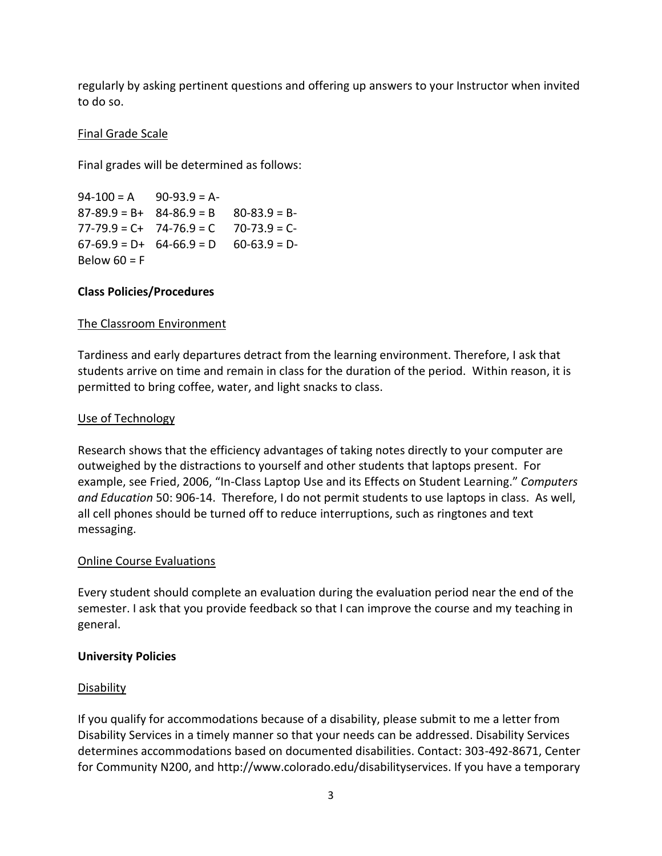regularly by asking pertinent questions and offering up answers to your Instructor when invited to do so.

# Final Grade Scale

Final grades will be determined as follows:

 $94-100 = A$  90-93.9 = A- $87-89.9 = B + 84-86.9 = B - 80-83.9 = B 77-79.9 = C + 74-76.9 = C 70-73.9 = C$  $67-69.9 = D+ 64-66.9 = D - 60-63.9 = D-$ Below  $60 = F$ 

# **Class Policies/Procedures**

# The Classroom Environment

Tardiness and early departures detract from the learning environment. Therefore, I ask that students arrive on time and remain in class for the duration of the period. Within reason, it is permitted to bring coffee, water, and light snacks to class.

# Use of Technology

Research shows that the efficiency advantages of taking notes directly to your computer are outweighed by the distractions to yourself and other students that laptops present. For example, see Fried, 2006, "In-Class Laptop Use and its Effects on Student Learning." *Computers and Education* 50: 906-14. Therefore, I do not permit students to use laptops in class. As well, all cell phones should be turned off to reduce interruptions, such as ringtones and text messaging.

# Online Course Evaluations

Every student should complete an evaluation during the evaluation period near the end of the semester. I ask that you provide feedback so that I can improve the course and my teaching in general.

# **University Policies**

# **Disability**

If you qualify for accommodations because of a disability, please submit to me a letter from Disability Services in a timely manner so that your needs can be addressed. Disability Services determines accommodations based on documented disabilities. Contact: 303-492-8671, Center for Community N200, and http://www.colorado.edu/disabilityservices. If you have a temporary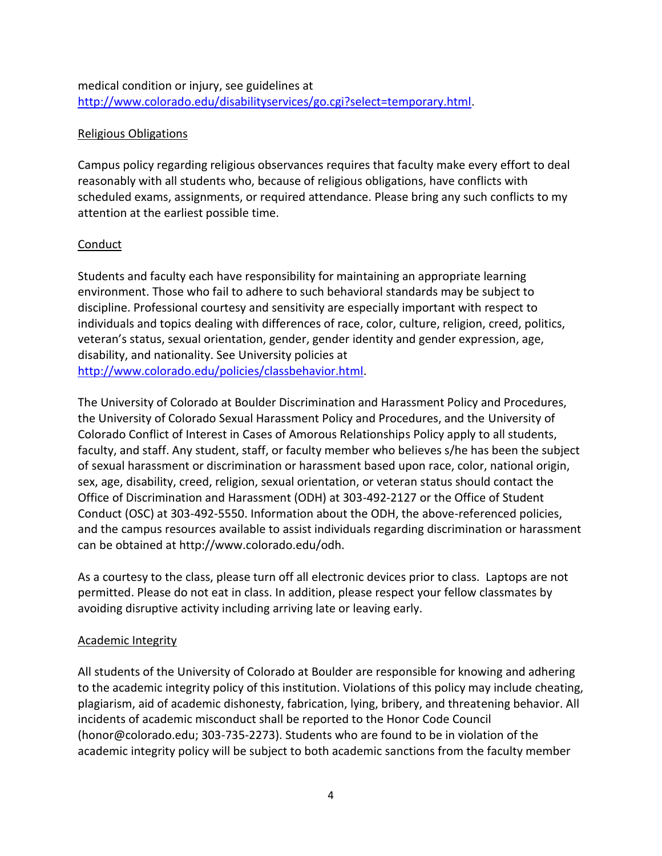medical condition or injury, see guidelines at [http://www.colorado.edu/disabilityservices/go.cgi?select=temporary.html.](http://www.colorado.edu/disabilityservices/go.cgi?select=temporary.html)

# Religious Obligations

Campus policy regarding religious observances requires that faculty make every effort to deal reasonably with all students who, because of religious obligations, have conflicts with scheduled exams, assignments, or required attendance. Please bring any such conflicts to my attention at the earliest possible time.

# Conduct

Students and faculty each have responsibility for maintaining an appropriate learning environment. Those who fail to adhere to such behavioral standards may be subject to discipline. Professional courtesy and sensitivity are especially important with respect to individuals and topics dealing with differences of race, color, culture, religion, creed, politics, veteran's status, sexual orientation, gender, gender identity and gender expression, age, disability, and nationality. See University policies at [http://www.colorado.edu/policies/classbehavior.html.](http://www.colorado.edu/policies/classbehavior.html)

The University of Colorado at Boulder Discrimination and Harassment Policy and Procedures, the University of Colorado Sexual Harassment Policy and Procedures, and the University of Colorado Conflict of Interest in Cases of Amorous Relationships Policy apply to all students, faculty, and staff. Any student, staff, or faculty member who believes s/he has been the subject of sexual harassment or discrimination or harassment based upon race, color, national origin, sex, age, disability, creed, religion, sexual orientation, or veteran status should contact the Office of Discrimination and Harassment (ODH) at 303-492-2127 or the Office of Student Conduct (OSC) at 303-492-5550. Information about the ODH, the above-referenced policies, and the campus resources available to assist individuals regarding discrimination or harassment can be obtained at http://www.colorado.edu/odh.

As a courtesy to the class, please turn off all electronic devices prior to class. Laptops are not permitted. Please do not eat in class. In addition, please respect your fellow classmates by avoiding disruptive activity including arriving late or leaving early.

# Academic Integrity

All students of the University of Colorado at Boulder are responsible for knowing and adhering to the academic integrity policy of this institution. Violations of this policy may include cheating, plagiarism, aid of academic dishonesty, fabrication, lying, bribery, and threatening behavior. All incidents of academic misconduct shall be reported to the Honor Code Council (honor@colorado.edu; 303-735-2273). Students who are found to be in violation of the academic integrity policy will be subject to both academic sanctions from the faculty member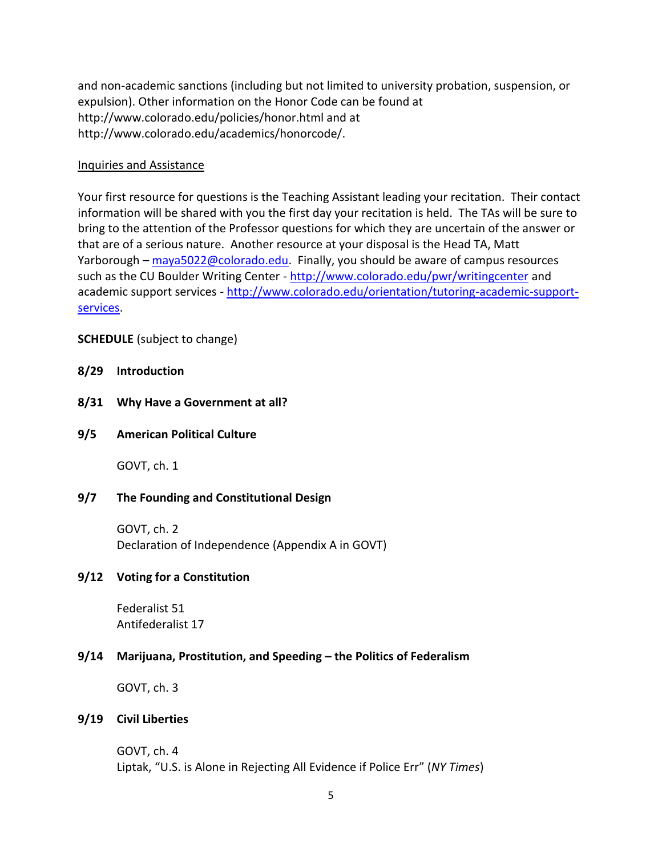and non-academic sanctions (including but not limited to university probation, suspension, or expulsion). Other information on the Honor Code can be found at http://www.colorado.edu/policies/honor.html and at http://www.colorado.edu/academics/honorcode/.

#### Inquiries and Assistance

Your first resource for questions is the Teaching Assistant leading your recitation. Their contact information will be shared with you the first day your recitation is held. The TAs will be sure to bring to the attention of the Professor questions for which they are uncertain of the answer or that are of a serious nature. Another resource at your disposal is the Head TA, Matt Yarborough –  $m$ aya5022@colorado.edu. Finally, you should be aware of campus resources such as the CU Boulder Writing Center - <http://www.colorado.edu/pwr/writingcenter> and academic support services - [http://www.colorado.edu/orientation/tutoring-academic-support](http://www.colorado.edu/orientation/tutoring-academic-support-services)[services.](http://www.colorado.edu/orientation/tutoring-academic-support-services)

# **SCHEDULE** (subject to change)

### **8/29 Introduction**

**8/31 Why Have a Government at all?**

#### **9/5 American Political Culture**

GOVT, ch. 1

# **9/7 The Founding and Constitutional Design**

GOVT, ch. 2 Declaration of Independence (Appendix A in GOVT)

# **9/12 Voting for a Constitution**

Federalist 51 Antifederalist 17

# **9/14 Marijuana, Prostitution, and Speeding – the Politics of Federalism**

GOVT, ch. 3

#### **9/19 Civil Liberties**

GOVT, ch. 4 Liptak, "U.S. is Alone in Rejecting All Evidence if Police Err" (*NY Times*)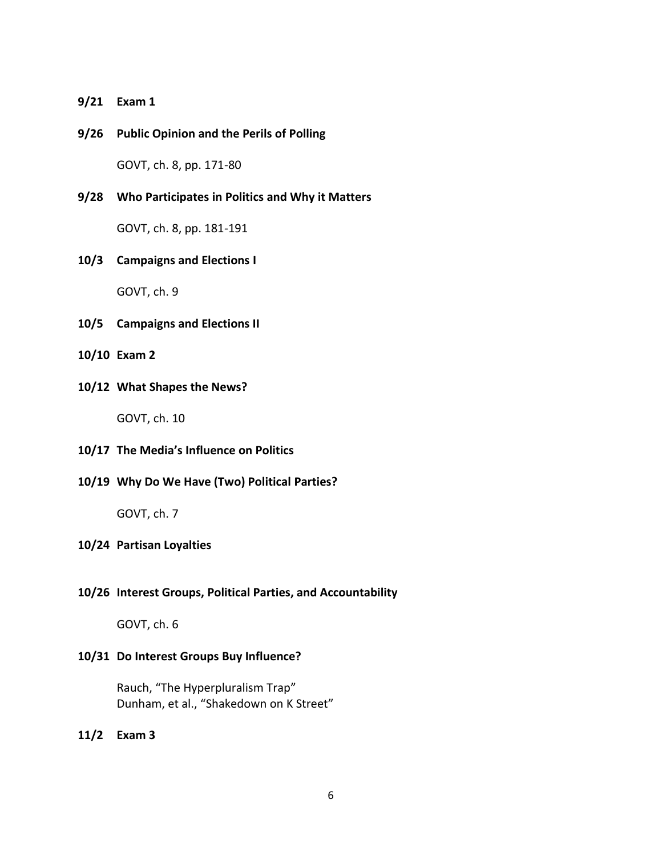**9/21 Exam 1**

**9/26 Public Opinion and the Perils of Polling**

GOVT, ch. 8, pp. 171-80

### **9/28 Who Participates in Politics and Why it Matters**

GOVT, ch. 8, pp. 181-191

#### **10/3 Campaigns and Elections I**

GOVT, ch. 9

- **10/5 Campaigns and Elections II**
- **10/10 Exam 2**
- **10/12 What Shapes the News?**

GOVT, ch. 10

- **10/17 The Media's Influence on Politics**
- **10/19 Why Do We Have (Two) Political Parties?**

GOVT, ch. 7

#### **10/24 Partisan Loyalties**

#### **10/26 Interest Groups, Political Parties, and Accountability**

GOVT, ch. 6

#### **10/31 Do Interest Groups Buy Influence?**

Rauch, "The Hyperpluralism Trap" Dunham, et al., "Shakedown on K Street"

**11/2 Exam 3**